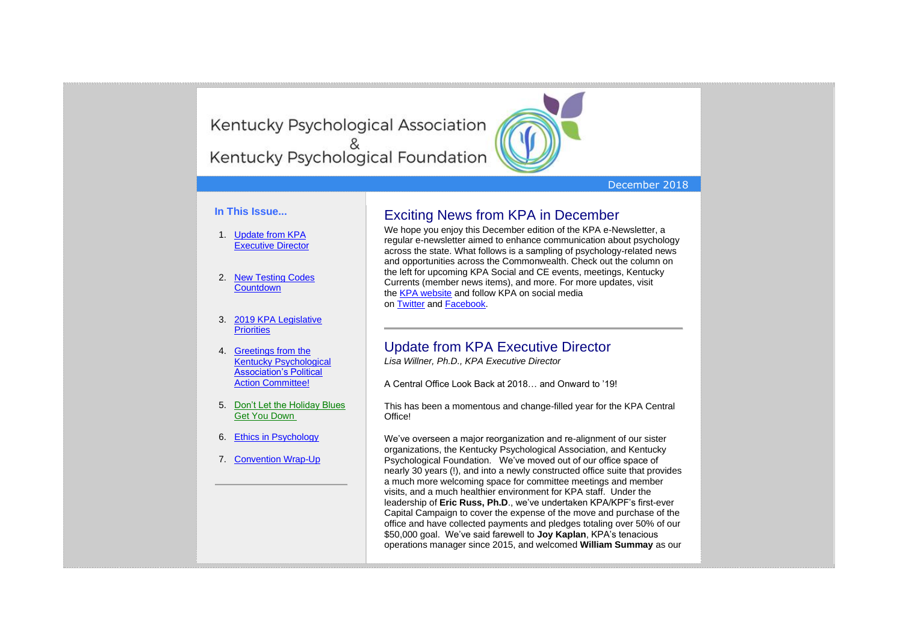Kentucky Psychological Association k<br>Kentucky Psychological Foundation



### December 2018

### **In This Issue...**

- 1. [Update from KPA](https://kpa.memberclicks.net/administrator/index.php?option=com_mccore&view=contactcenter#ED-update)  [Executive Director](https://kpa.memberclicks.net/administrator/index.php?option=com_mccore&view=contactcenter#ED-update)
- 2. [New Testing Codes](https://kpa.memberclicks.net/administrator/index.php?option=com_mccore&view=contactcenter#TestCodes)  **[Countdown](https://kpa.memberclicks.net/administrator/index.php?option=com_mccore&view=contactcenter#TestCodes)**
- 3. [2019 KPA Legislative](https://kpa.memberclicks.net/administrator/index.php?option=com_mccore&view=contactcenter#legpriorities)  **[Priorities](https://kpa.memberclicks.net/administrator/index.php?option=com_mccore&view=contactcenter#legpriorities)**
- 4. [Greetings from the](https://kpa.memberclicks.net/administrator/index.php?option=com_mccore&view=contactcenter#PAC)  [Kentucky Psychological](https://kpa.memberclicks.net/administrator/index.php?option=com_mccore&view=contactcenter#PAC)  [Association's Political](https://kpa.memberclicks.net/administrator/index.php?option=com_mccore&view=contactcenter#PAC)  [Action Committee!](https://kpa.memberclicks.net/administrator/index.php?option=com_mccore&view=contactcenter#PAC)
- 5. [Don't Let the Holiday Blues](https://kpa.memberclicks.net/administrator/index.php?option=com_mccore&view=contactcenter#pubed)  [Get You Down](https://kpa.memberclicks.net/administrator/index.php?option=com_mccore&view=contactcenter#pubed)
- 6. [Ethics in Psychology](https://kpa.memberclicks.net/administrator/index.php?option=com_mccore&view=contactcenter#ethics)
- 7. [Convention Wrap-Up](https://kpa.memberclicks.net/administrator/index.php?option=com_mccore&view=contactcenter#Conv)

# Exciting News from KPA in December

We hope you enjoy this December edition of the KPA e-Newsletter, a regular e-newsletter aimed to enhance communication about psychology across the state. What follows is a sampling of psychology-related news and opportunities across the Commonwealth. Check out the column on the left for upcoming KPA Social and CE events, meetings, Kentucky Currents (member news items), and more. For more updates, visit the [KPA website](http://www.kpa.org/) and follow KPA on social media on [Twitter](https://twitter.com/KYPsychAssoc) and [Facebook.](https://www.facebook.com/KentuckyPsychAssociation/)

# Update from KPA Executive Director

*Lisa Willner, Ph.D., KPA Executive Director*

A Central Office Look Back at 2018… and Onward to '19!

This has been a momentous and change-filled year for the KPA Central Office!

We've overseen a major reorganization and re-alignment of our sister organizations, the Kentucky Psychological Association, and Kentucky Psychological Foundation. We've moved out of our office space of nearly 30 years (!), and into a newly constructed office suite that provides a much more welcoming space for committee meetings and member visits, and a much healthier environment for KPA staff. Under the leadership of **Eric Russ, Ph.D**., we've undertaken KPA/KPF's first-ever Capital Campaign to cover the expense of the move and purchase of the office and have collected payments and pledges totaling over 50% of our \$50,000 goal. We've said farewell to **Joy Kaplan**, KPA's tenacious operations manager since 2015, and welcomed **William Summay** as our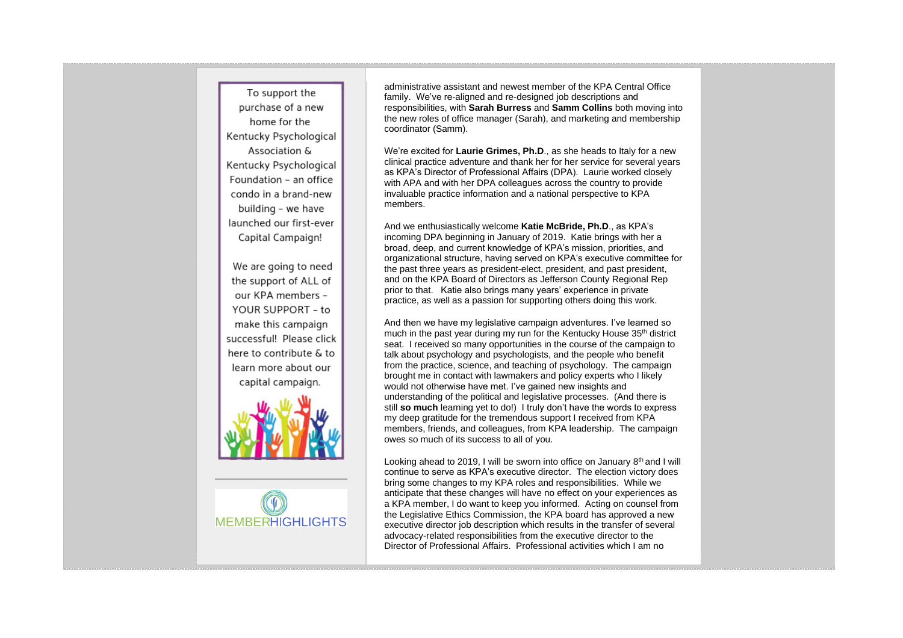To support the purchase of a new home for the Kentucky Psychological Association & Kentucky Psychological Foundation - an office condo in a brand-new building - we have launched our first-ever Capital Campaign!

We are going to need the support of ALL of our KPA members -YOUR SUPPORT - to make this campaign successful! Please click here to contribute & to learn more about our capital campaign.





administrative assistant and newest member of the KPA Central Office family. We've re-aligned and re-designed job descriptions and responsibilities, with **Sarah Burress** and **Samm Collins** both moving into the new roles of office manager (Sarah), and marketing and membership coordinator (Samm).

We're excited for **Laurie Grimes, Ph.D**., as she heads to Italy for a new clinical practice adventure and thank her for her service for several years as KPA's Director of Professional Affairs (DPA). Laurie worked closely with APA and with her DPA colleagues across the country to provide invaluable practice information and a national perspective to KPA members.

And we enthusiastically welcome **Katie McBride, Ph.D**., as KPA's incoming DPA beginning in January of 2019. Katie brings with her a broad, deep, and current knowledge of KPA's mission, priorities, and organizational structure, having served on KPA's executive committee for the past three years as president-elect, president, and past president, and on the KPA Board of Directors as Jefferson County Regional Rep prior to that. Katie also brings many years' experience in private practice, as well as a passion for supporting others doing this work.

And then we have my legislative campaign adventures. I've learned so much in the past year during my run for the Kentucky House 35<sup>th</sup> district seat. I received so many opportunities in the course of the campaign to talk about psychology and psychologists, and the people who benefit from the practice, science, and teaching of psychology. The campaign brought me in contact with lawmakers and policy experts who I likely would not otherwise have met. I've gained new insights and understanding of the political and legislative processes. (And there is still **so much** learning yet to do!) I truly don't have the words to express my deep gratitude for the tremendous support I received from KPA members, friends, and colleagues, from KPA leadership. The campaign owes so much of its success to all of you.

Looking ahead to 2019, I will be sworn into office on January  $8<sup>th</sup>$  and I will continue to serve as KPA's executive director. The election victory does bring some changes to my KPA roles and responsibilities. While we anticipate that these changes will have no effect on your experiences as a KPA member, I do want to keep you informed. Acting on counsel from the Legislative Ethics Commission, the KPA board has approved a new executive director job description which results in the transfer of several advocacy-related responsibilities from the executive director to the Director of Professional Affairs. Professional activities which I am no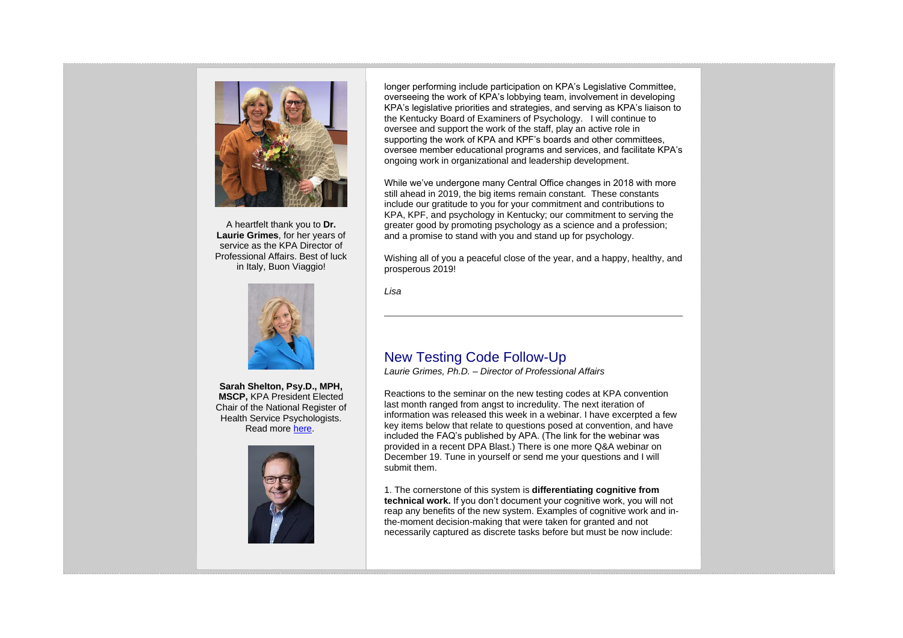

A heartfelt thank you to **Dr. Laurie Grimes**, for her years of service as the KPA Director of Professional Affairs. Best of luck in Italy, Buon Viaggio!



**Sarah Shelton, Psy.D., MPH, MSCP,** KPA President Elected Chair of the National Register of Health Service Psychologists. Read more [here.](https://www.kpa.org/assets/e-Newsletters/KPA%20Chair%20BoD%20NR%20Announcement%202018.pdf)



longer performing include participation on KPA's Legislative Committee, overseeing the work of KPA's lobbying team, involvement in developing KPA's legislative priorities and strategies, and serving as KPA's liaison to the Kentucky Board of Examiners of Psychology. I will continue to oversee and support the work of the staff, play an active role in supporting the work of KPA and KPF's boards and other committees, oversee member educational programs and services, and facilitate KPA's ongoing work in organizational and leadership development.

While we've undergone many Central Office changes in 2018 with more still ahead in 2019, the big items remain constant. These constants include our gratitude to you for your commitment and contributions to KPA, KPF, and psychology in Kentucky; our commitment to serving the greater good by promoting psychology as a science and a profession; and a promise to stand with you and stand up for psychology.

Wishing all of you a peaceful close of the year, and a happy, healthy, and prosperous 2019!

*Lisa* 

# New Testing Code Follow-Up

*Laurie Grimes, Ph.D. – Director of Professional Affairs*

Reactions to the seminar on the new testing codes at KPA convention last month ranged from angst to incredulity. The next iteration of information was released this week in a webinar. I have excerpted a few key items below that relate to questions posed at convention, and have included the FAQ's published by APA. (The link for the webinar was provided in a recent DPA Blast.) There is one more Q&A webinar on December 19. Tune in yourself or send me your questions and I will submit them.

1. The cornerstone of this system is **differentiating cognitive from technical work.** If you don't document your cognitive work, you will not reap any benefits of the new system. Examples of cognitive work and inthe-moment decision-making that were taken for granted and not necessarily captured as discrete tasks before but must be now include: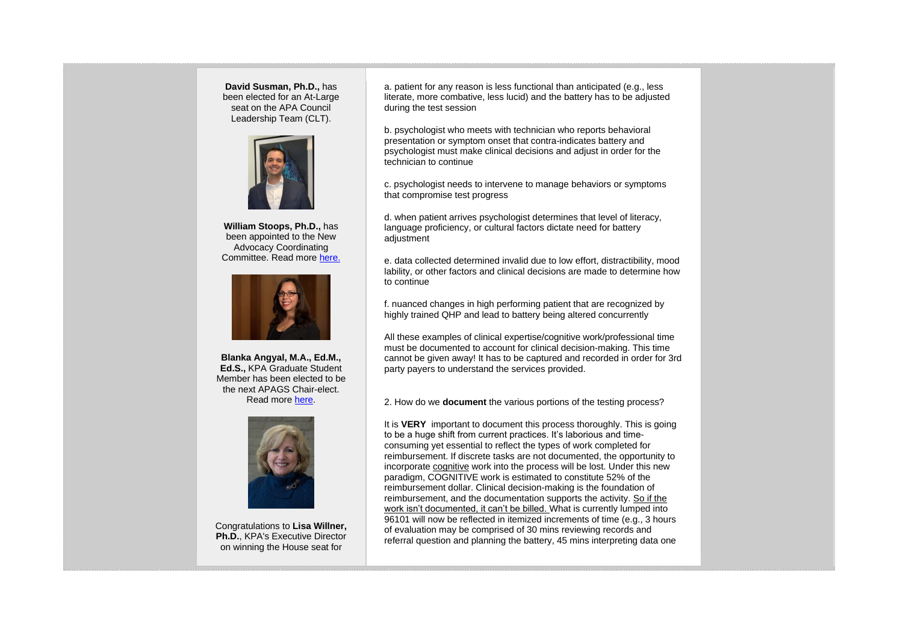**David Susman, Ph.D.,** has been elected for an At-Large seat on the APA Council Leadership Team (CLT).



**William Stoops, Ph.D.,** has been appointed to the New Advocacy Coordinating Committee. Read more [here.](https://www.apa.org/news/press/releases/2018/12/advocacy-coordinating-committee.aspx)



**Blanka Angyal, M.A., Ed.M., Ed.S.,** KPA Graduate Student Member has been elected to be the next APAGS Chair-elect. Read more [here.](https://education.uky.edu/edp/2018/11/21/counseling-psychology-student-elected-to-apags-chair/)



Congratulations to **Lisa Willner, Ph.D.**, KPA's Executive Director on winning the House seat for

a. patient for any reason is less functional than anticipated (e.g., less literate, more combative, less lucid) and the battery has to be adjusted during the test session

b. psychologist who meets with technician who reports behavioral presentation or symptom onset that contra-indicates battery and psychologist must make clinical decisions and adjust in order for the technician to continue

c. psychologist needs to intervene to manage behaviors or symptoms that compromise test progress

d. when patient arrives psychologist determines that level of literacy, language proficiency, or cultural factors dictate need for battery adiustment

e. data collected determined invalid due to low effort, distractibility, mood lability, or other factors and clinical decisions are made to determine how to continue

f. nuanced changes in high performing patient that are recognized by highly trained QHP and lead to battery being altered concurrently

All these examples of clinical expertise/cognitive work/professional time must be documented to account for clinical decision-making. This time cannot be given away! It has to be captured and recorded in order for 3rd party payers to understand the services provided.

2. How do we **document** the various portions of the testing process?

It is **VERY** important to document this process thoroughly. This is going to be a huge shift from current practices. It's laborious and timeconsuming yet essential to reflect the types of work completed for reimbursement. If discrete tasks are not documented, the opportunity to incorporate cognitive work into the process will be lost. Under this new paradigm, COGNITIVE work is estimated to constitute 52% of the reimbursement dollar. Clinical decision-making is the foundation of reimbursement, and the documentation supports the activity. So if the work isn't documented, it can't be billed. What is currently lumped into 96101 will now be reflected in itemized increments of time (e.g., 3 hours of evaluation may be comprised of 30 mins reviewing records and referral question and planning the battery, 45 mins interpreting data one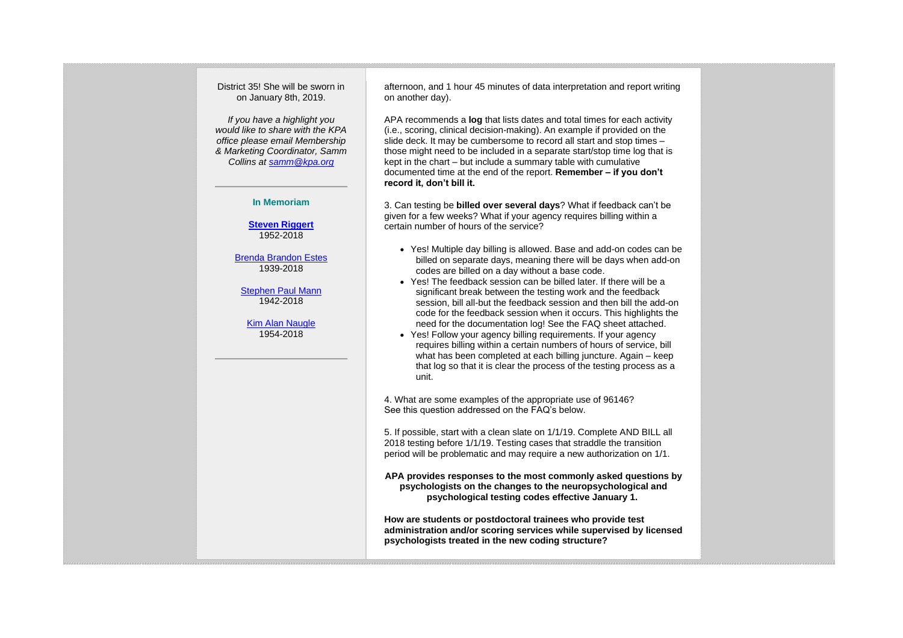#### District 35! She will be sworn in on January 8th, 2019.

*If you have a highlight you would like to share with the KPA office please email Membership & Marketing Coordinator, Samm Collins at [samm@kpa.org](mailto:samm@kpa.org)*

#### **In Memoriam**

**[Steven Riggert](https://www.legacy.com/obituaries/name/steven-riggert-obituary?pid=190463982)** 1952-2018

[Brenda Brandon Estes](http://thejhchurchillfuneralhome.tributes.com/obituary/show/Brenda-Brandon-Estes-106168695) 1939-2018

[Stephen Paul Mann](https://www.legacy.com/obituaries/louisville/obituary.aspx?n=paul-stephen-mann&pid=189348724&fhid=4753) 1942-2018

[Kim Alan Naugle](https://www.clarklegacycenter.com/obituaries/obituary-listings?obId=3119126) 1954-2018

afternoon, and 1 hour 45 minutes of data interpretation and report writing on another day).

APA recommends a **log** that lists dates and total times for each activity (i.e., scoring, clinical decision-making). An example if provided on the slide deck. It may be cumbersome to record all start and stop times – those might need to be included in a separate start/stop time log that is kept in the chart – but include a summary table with cumulative documented time at the end of the report. **Remember – if you don't record it, don't bill it.**

3. Can testing be **billed over several days**? What if feedback can't be given for a few weeks? What if your agency requires billing within a certain number of hours of the service?

- Yes! Multiple day billing is allowed. Base and add-on codes can be billed on separate days, meaning there will be days when add-on codes are billed on a day without a base code.
- Yes! The feedback session can be billed later. If there will be a significant break between the testing work and the feedback session, bill all-but the feedback session and then bill the add-on code for the feedback session when it occurs. This highlights the need for the documentation log! See the FAQ sheet attached.
- Yes! Follow your agency billing requirements. If your agency requires billing within a certain numbers of hours of service, bill what has been completed at each billing juncture. Again – keep that log so that it is clear the process of the testing process as a unit.

4. What are some examples of the appropriate use of 96146? See this question addressed on the FAQ's below.

5. If possible, start with a clean slate on 1/1/19. Complete AND BILL all 2018 testing before 1/1/19. Testing cases that straddle the transition period will be problematic and may require a new authorization on 1/1.

**APA provides responses to the most commonly asked questions by psychologists on the changes to the neuropsychological and psychological testing codes effective January 1.**

**How are students or postdoctoral trainees who provide test administration and/or scoring services while supervised by licensed psychologists treated in the new coding structure?**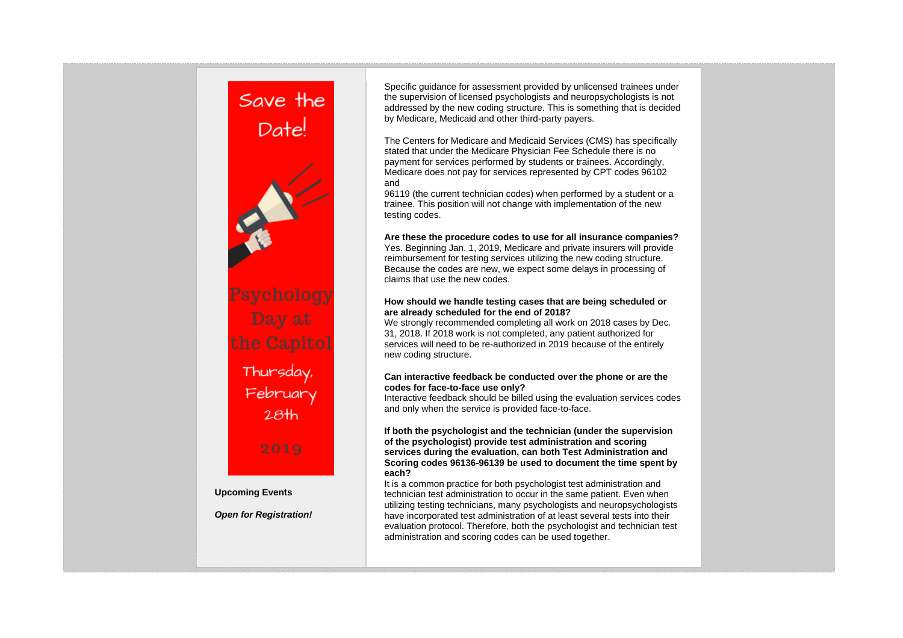

Specific guidance for assessment provided by unlicensed trainees under the supervision of licensed psychologists and neuropsychologists is not addressed by the new coding structure. This is something that is decided by Medicare, Medicaid and other third-party payers.

The Centers for Medicare and Medicaid Services (CMS) has specifically stated that under the Medicare Physician Fee Schedule there is no payment for services performed by students or trainees. Accordingly, Medicare does not pay for services represented by CPT codes 96102 and

96119 (the current technician codes) when performed by a student or a trainee. This position will not change with implementation of the new testing codes.

**Are these the procedure codes to use for all insurance companies?** Yes. Beginning Jan. 1, 2019, Medicare and private insurers will provide reimbursement for testing services utilizing the new coding structure. Because the codes are new, we expect some delays in processing of claims that use the new codes.

### **How should we handle testing cases that are being scheduled or are already scheduled for the end of 2018?**

We strongly recommended completing all work on 2018 cases by Dec. 31, 2018. If 2018 work is not completed, any patient authorized for services will need to be re-authorized in 2019 because of the entirely new coding structure.

### **Can interactive feedback be conducted over the phone or are the codes for face-to-face use only?**

Interactive feedback should be billed using the evaluation services codes and only when the service is provided face-to-face.

**If both the psychologist and the technician (under the supervision of the psychologist) provide test administration and scoring services during the evaluation, can both Test Administration and Scoring codes 96136-96139 be used to document the time spent by each?**

It is a common practice for both psychologist test administration and technician test administration to occur in the same patient. Even when utilizing testing technicians, many psychologists and neuropsychologists have incorporated test administration of at least several tests into their evaluation protocol. Therefore, both the psychologist and technician test administration and scoring codes can be used together.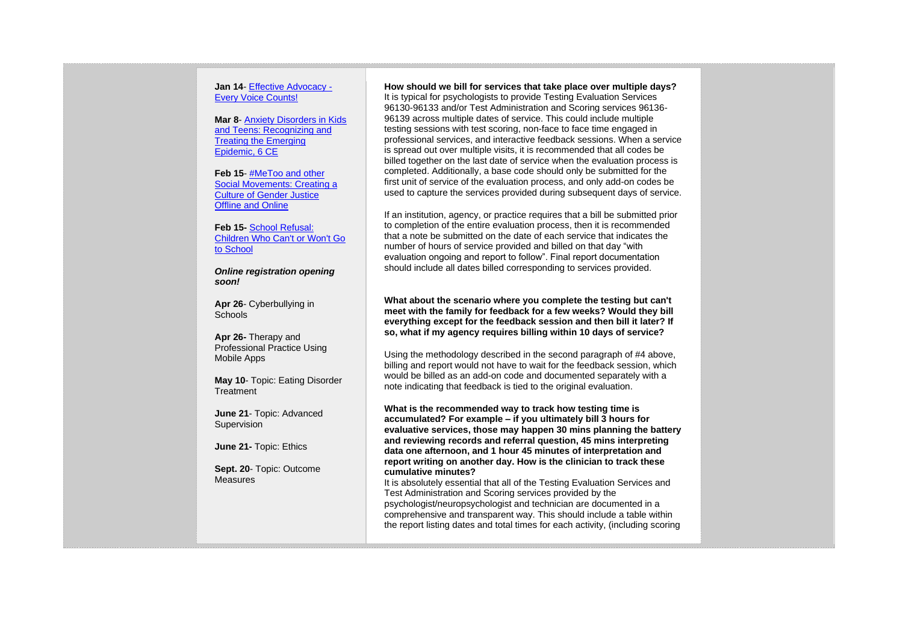**Jan 14**- [Effective Advocacy -](https://kpa.memberclicks.net/index.php?option=com_jevents&task=icalevent.detail&evid=39) [Every Voice Counts!](https://kpa.memberclicks.net/index.php?option=com_jevents&task=icalevent.detail&evid=39)

**Mar 8**- [Anxiety Disorders in Kids](https://kpa.memberclicks.net/index.php?option=com_jevents&task=icalevent.detail&evid=38)  [and Teens: Recognizing and](https://kpa.memberclicks.net/index.php?option=com_jevents&task=icalevent.detail&evid=38)  [Treating the Emerging](https://kpa.memberclicks.net/index.php?option=com_jevents&task=icalevent.detail&evid=38)  [Epidemic, 6 CE](https://kpa.memberclicks.net/index.php?option=com_jevents&task=icalevent.detail&evid=38)

**Feb 15**- [#MeToo and other](https://kpa.memberclicks.net/index.php?option=com_jevents&task=icalevent.detail&evid=40)  [Social Movements: Creating a](https://kpa.memberclicks.net/index.php?option=com_jevents&task=icalevent.detail&evid=40)  [Culture of Gender Justice](https://kpa.memberclicks.net/index.php?option=com_jevents&task=icalevent.detail&evid=40)  [Offline and Online](https://kpa.memberclicks.net/index.php?option=com_jevents&task=icalevent.detail&evid=40)

**Feb 15-** [School Refusal:](https://kpa.memberclicks.net/index.php?option=com_jevents&task=icalevent.detail&evid=40)  [Children Who Can't or Won't Go](https://kpa.memberclicks.net/index.php?option=com_jevents&task=icalevent.detail&evid=40)  [to School](https://kpa.memberclicks.net/index.php?option=com_jevents&task=icalevent.detail&evid=40)

*Online registration opening soon!*

**Apr 26**- Cyberbullying in **Schools** 

**Apr 26-** Therapy and Professional Practice Using Mobile Apps

**May 10**- Topic: Eating Disorder **Treatment** 

**June 21**- Topic: Advanced **Supervision** 

**June 21-** Topic: Ethics

**Sept. 20**- Topic: Outcome Measures

**How should we bill for services that take place over multiple days?** It is typical for psychologists to provide Testing Evaluation Services 96130-96133 and/or Test Administration and Scoring services 96136- 96139 across multiple dates of service. This could include multiple testing sessions with test scoring, non-face to face time engaged in professional services, and interactive feedback sessions. When a service is spread out over multiple visits, it is recommended that all codes be billed together on the last date of service when the evaluation process is completed. Additionally, a base code should only be submitted for the first unit of service of the evaluation process, and only add-on codes be used to capture the services provided during subsequent days of service.

If an institution, agency, or practice requires that a bill be submitted prior to completion of the entire evaluation process, then it is recommended that a note be submitted on the date of each service that indicates the number of hours of service provided and billed on that day "with evaluation ongoing and report to follow". Final report documentation should include all dates billed corresponding to services provided.

**What about the scenario where you complete the testing but can't meet with the family for feedback for a few weeks? Would they bill everything except for the feedback session and then bill it later? If so, what if my agency requires billing within 10 days of service?**

Using the methodology described in the second paragraph of #4 above, billing and report would not have to wait for the feedback session, which would be billed as an add-on code and documented separately with a note indicating that feedback is tied to the original evaluation.

**What is the recommended way to track how testing time is accumulated? For example – if you ultimately bill 3 hours for evaluative services, those may happen 30 mins planning the battery and reviewing records and referral question, 45 mins interpreting data one afternoon, and 1 hour 45 minutes of interpretation and report writing on another day. How is the clinician to track these cumulative minutes?**

It is absolutely essential that all of the Testing Evaluation Services and Test Administration and Scoring services provided by the psychologist/neuropsychologist and technician are documented in a comprehensive and transparent way. This should include a table within the report listing dates and total times for each activity, (including scoring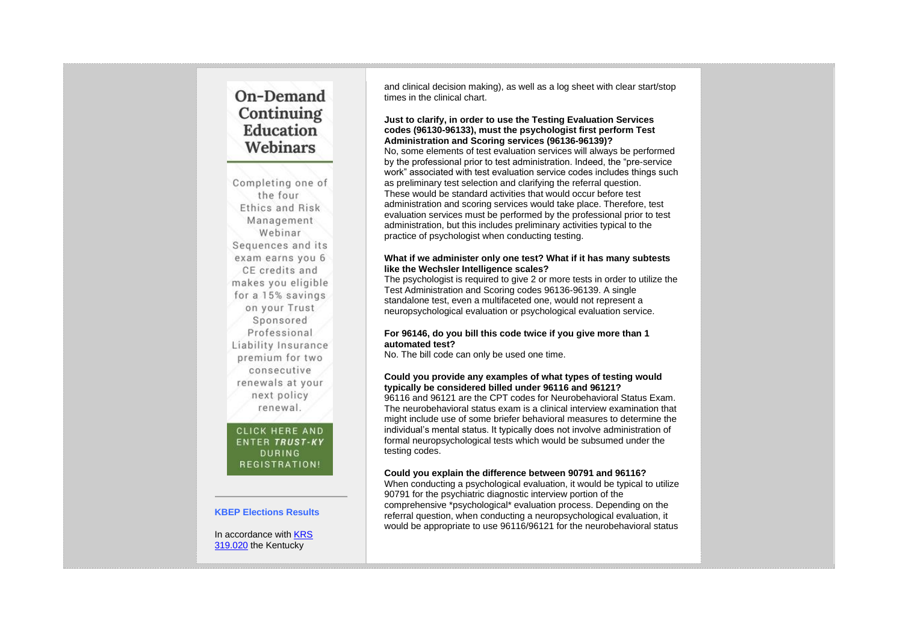# On-Demand Continuing **Education** Webinars

Completing one of the four Ethics and Risk Management Webinar Sequences and its exam earns you 6 CE credits and makes you eligible for a 15% savings on your Trust Sponsored Professional Liability Insurance premium for two consecutive renewals at your next policy renewal.

### CLICK HERE AND ENTER TRUST-KY **DURING** REGISTRATION!

#### **KBEP Elections Results**

In accordance with [KRS](http://www.lrc.ky.gov/Statutes/statute.aspx?id=31222)  [319.020](http://www.lrc.ky.gov/Statutes/statute.aspx?id=31222) the Kentucky

and clinical decision making), as well as a log sheet with clear start/stop times in the clinical chart.

### **Just to clarify, in order to use the Testing Evaluation Services codes (96130-96133), must the psychologist first perform Test Administration and Scoring services (96136-96139)?**

No, some elements of test evaluation services will always be performed by the professional prior to test administration. Indeed, the "pre-service work" associated with test evaluation service codes includes things such as preliminary test selection and clarifying the referral question. These would be standard activities that would occur before test administration and scoring services would take place. Therefore, test evaluation services must be performed by the professional prior to test administration, but this includes preliminary activities typical to the practice of psychologist when conducting testing.

### **What if we administer only one test? What if it has many subtests like the Wechsler Intelligence scales?**

The psychologist is required to give 2 or more tests in order to utilize the Test Administration and Scoring codes 96136-96139. A single standalone test, even a multifaceted one, would not represent a neuropsychological evaluation or psychological evaluation service.

#### **For 96146, do you bill this code twice if you give more than 1 automated test?**

No. The bill code can only be used one time.

### **Could you provide any examples of what types of testing would typically be considered billed under 96116 and 96121?**

96116 and 96121 are the CPT codes for Neurobehavioral Status Exam. The neurobehavioral status exam is a clinical interview examination that might include use of some briefer behavioral measures to determine the individual's mental status. It typically does not involve administration of formal neuropsychological tests which would be subsumed under the testing codes.

#### **Could you explain the difference between 90791 and 96116?**

When conducting a psychological evaluation, it would be typical to utilize 90791 for the psychiatric diagnostic interview portion of the comprehensive \*psychological\* evaluation process. Depending on the referral question, when conducting a neuropsychological evaluation, it would be appropriate to use 96116/96121 for the neurobehavioral status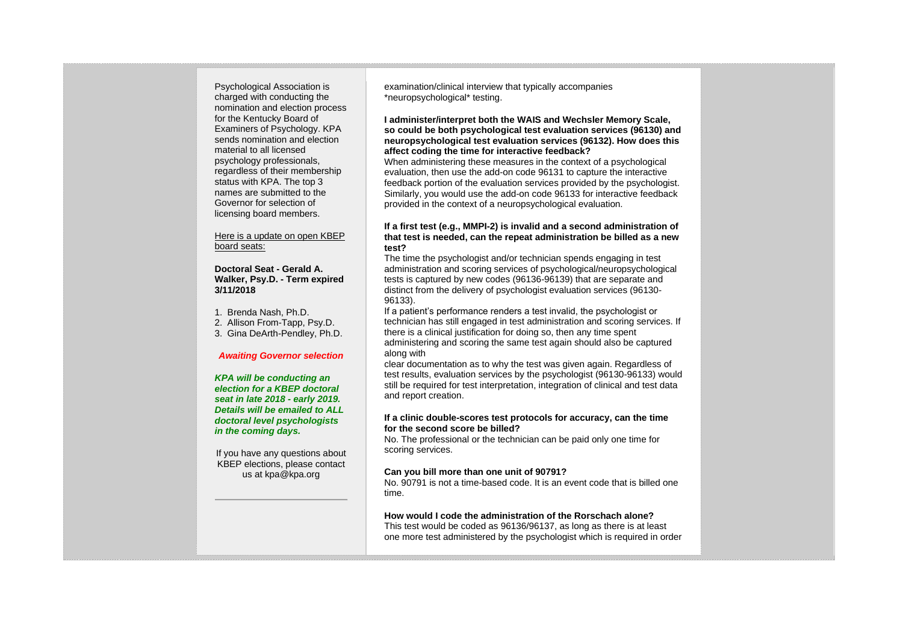Psychological Association is charged with conducting the nomination and election process for the Kentucky Board of Examiners of Psychology. KPA sends nomination and election material to all licensed psychology professionals, regardless of their membership status with KPA. The top 3 names are submitted to the Governor for selection of licensing board members.

Here is a update on open KBEP board seats:

**Doctoral Seat - Gerald A. Walker, Psy.D. - Term expired 3/11/2018**

1. Brenda Nash, Ph.D.

2. Allison From-Tapp, Psy.D.

3. Gina DeArth-Pendley, Ph.D.

#### *Awaiting Governor selection*

*KPA will be conducting an election for a KBEP doctoral seat in late 2018 - early 2019. Details will be emailed to ALL doctoral level psychologists in the coming days.*

If you have any questions about KBEP elections, please contact us at kpa@kpa.org

examination/clinical interview that typically accompanies \*neuropsychological\* testing.

**I administer/interpret both the WAIS and Wechsler Memory Scale, so could be both psychological test evaluation services (96130) and neuropsychological test evaluation services (96132). How does this affect coding the time for interactive feedback?**

When administering these measures in the context of a psychological evaluation, then use the add-on code 96131 to capture the interactive feedback portion of the evaluation services provided by the psychologist. Similarly, you would use the add-on code 96133 for interactive feedback provided in the context of a neuropsychological evaluation.

#### **If a first test (e.g., MMPI-2) is invalid and a second administration of that test is needed, can the repeat administration be billed as a new test?**

The time the psychologist and/or technician spends engaging in test administration and scoring services of psychological/neuropsychological tests is captured by new codes (96136-96139) that are separate and distinct from the delivery of psychologist evaluation services (96130- 96133).

If a patient's performance renders a test invalid, the psychologist or technician has still engaged in test administration and scoring services. If there is a clinical justification for doing so, then any time spent administering and scoring the same test again should also be captured along with

clear documentation as to why the test was given again. Regardless of test results, evaluation services by the psychologist (96130-96133) would still be required for test interpretation, integration of clinical and test data and report creation.

#### **If a clinic double-scores test protocols for accuracy, can the time for the second score be billed?**

No. The professional or the technician can be paid only one time for scoring services.

#### **Can you bill more than one unit of 90791?**

No. 90791 is not a time-based code. It is an event code that is billed one time.

**How would I code the administration of the Rorschach alone?** This test would be coded as 96136/96137, as long as there is at least

one more test administered by the psychologist which is required in order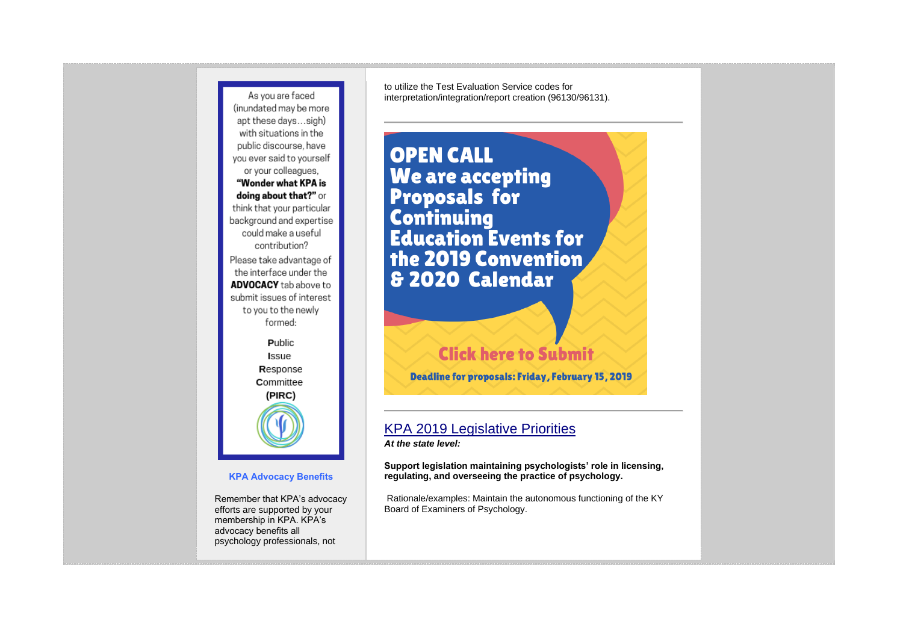

**KPA Advocacy Benefits**

Remember that KPA's advocacy efforts are supported by your membership in KPA. KPA's advocacy benefits all

psychology professionals, not

to utilize the Test Evaluation Service codes for interpretation/integration/report creation (96130/96131).

**OPEN CALL We are accepting Proposals for<br>Continuing Education Events for** the 2019 Convention & 2020 Calendar

# **Click here to Submit**

**Deadline for proposals: Friday, February 15, 2019** 

# KPA 2019 Legislative Priorities

*At the state level:*

**Support legislation maintaining psychologists' role in licensing, regulating, and overseeing the practice of psychology.**

Rationale/examples: Maintain the autonomous functioning of the KY Board of Examiners of Psychology.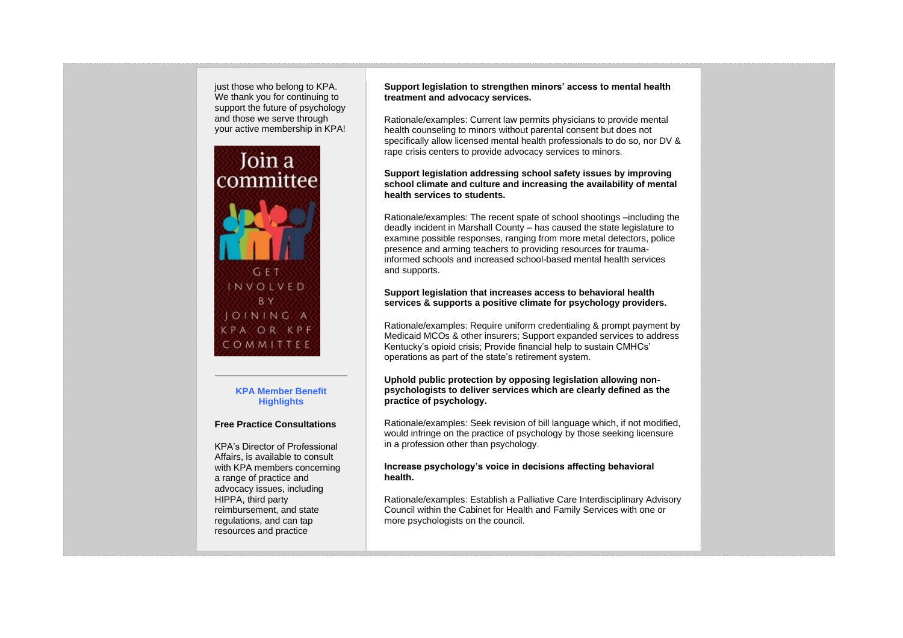just those who belong to KPA. We thank you for continuing to support the future of psychology and those we serve through your active membership in KPA!



### **KPA Member Benefit Highlights**

#### **Free Practice Consultations**

KPA's Director of Professional Affairs, is available to consult with KPA members concerning a range of practice and advocacy issues, including HIPPA, third party reimbursement, and state regulations, and can tap resources and practice

### **Support legislation to strengthen minors' access to mental health treatment and advocacy services.**

Rationale/examples: Current law permits physicians to provide mental health counseling to minors without parental consent but does not specifically allow licensed mental health professionals to do so, nor DV & rape crisis centers to provide advocacy services to minors.

### **Support legislation addressing school safety issues by improving school climate and culture and increasing the availability of mental health services to students.**

Rationale/examples: The recent spate of school shootings –including the deadly incident in Marshall County – has caused the state legislature to examine possible responses, ranging from more metal detectors, police presence and arming teachers to providing resources for traumainformed schools and increased school-based mental health services and supports.

#### **Support legislation that increases access to behavioral health services & supports a positive climate for psychology providers.**

Rationale/examples: Require uniform credentialing & prompt payment by Medicaid MCOs & other insurers; Support expanded services to address Kentucky's opioid crisis; Provide financial help to sustain CMHCs' operations as part of the state's retirement system.

### **Uphold public protection by opposing legislation allowing nonpsychologists to deliver services which are clearly defined as the practice of psychology.**

Rationale/examples: Seek revision of bill language which, if not modified, would infringe on the practice of psychology by those seeking licensure in a profession other than psychology.

### **Increase psychology's voice in decisions affecting behavioral health.**

Rationale/examples: Establish a Palliative Care Interdisciplinary Advisory Council within the Cabinet for Health and Family Services with one or more psychologists on the council.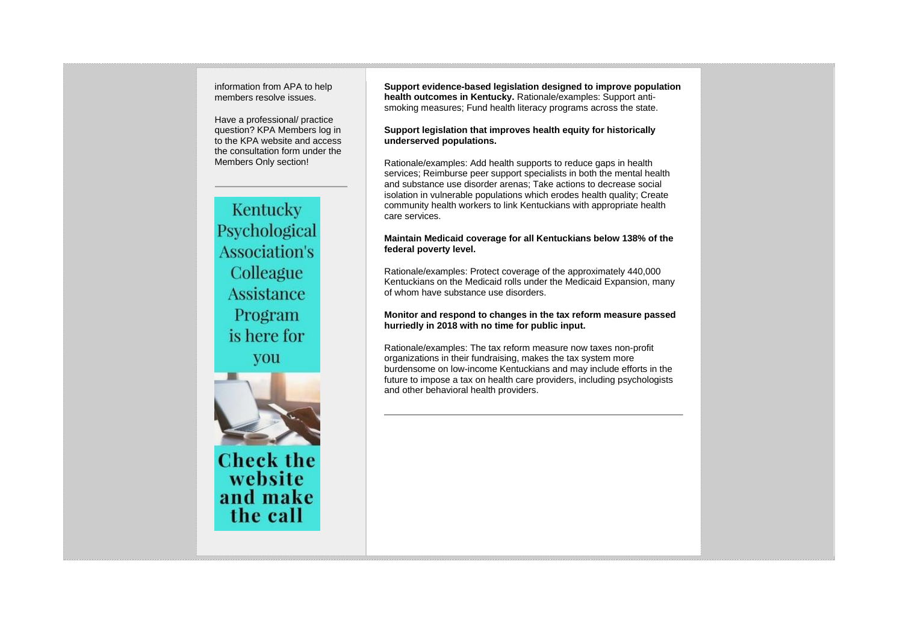information from APA to help members resolve issues.

Have a professional/ practice question? KPA Members log in to the KPA website and access the consultation form under the Members Only section!

Kentucky Psychological **Association's** Colleague **Assistance** Program is here for you



**Check the** website and make the call

**Support evidence-based legislation designed to improve population health outcomes in Kentucky.** Rationale/examples: Support antismoking measures; Fund health literacy programs across the state.

**Support legislation that improves health equity for historically underserved populations.**

Rationale/examples: Add health supports to reduce gaps in health services; Reimburse peer support specialists in both the mental health and substance use disorder arenas; Take actions to decrease social isolation in vulnerable populations which erodes health quality; Create community health workers to link Kentuckians with appropriate health care services.

**Maintain Medicaid coverage for all Kentuckians below 138% of the federal poverty level.**

Rationale/examples: Protect coverage of the approximately 440,000 Kentuckians on the Medicaid rolls under the Medicaid Expansion, many of whom have substance use disorders.

**Monitor and respond to changes in the tax reform measure passed hurriedly in 2018 with no time for public input.**

Rationale/examples: The tax reform measure now taxes non-profit organizations in their fundraising, makes the tax system more burdensome on low-income Kentuckians and may include efforts in the future to impose a tax on health care providers, including psychologists and other behavioral health providers.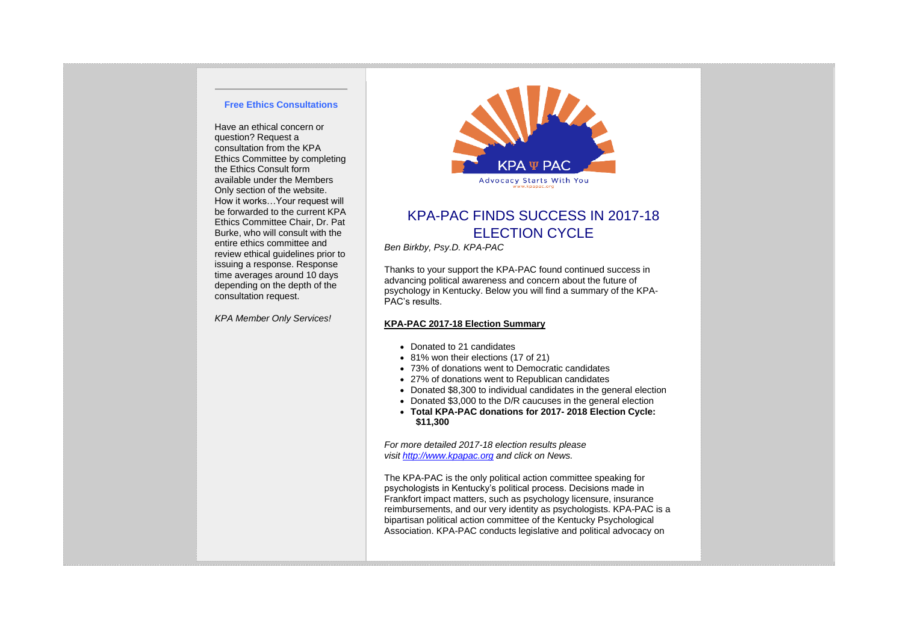### **Free Ethics Consultations**

Have an ethical concern or question? Request a consultation from the KPA Ethics Committee by completing the Ethics Consult form available under the Members Only section of the website. How it works…Your request will be forwarded to the current KPA Ethics Committee Chair, Dr. Pat Burke, who will consult with the entire ethics committee and review ethical guidelines prior to issuing a response. Response time averages around 10 days depending on the depth of the consultation request.

*KPA Member Only Services!*



# KPA-PAC FINDS SUCCESS IN 2017-18 ELECTION CYCLE

*Ben Birkby, Psy.D. KPA-PAC*

Thanks to your support the KPA-PAC found continued success in advancing political awareness and concern about the future of psychology in Kentucky. Below you will find a summary of the KPA-PAC's results.

#### **KPA-PAC 2017-18 Election Summary**

- Donated to 21 candidates
- 81% won their elections (17 of 21)
- 73% of donations went to Democratic candidates
- 27% of donations went to Republican candidates
- Donated \$8,300 to individual candidates in the general election
- Donated \$3,000 to the D/R caucuses in the general election
- **Total KPA-PAC donations for 2017- 2018 Election Cycle: \$11,300**

*For more detailed 2017-18 election results please visit [http://www.kpapac.org](http://www.kpapac.org/) and click on News.*

The KPA-PAC is the only political action committee speaking for psychologists in Kentucky's political process. Decisions made in Frankfort impact matters, such as psychology licensure, insurance reimbursements, and our very identity as psychologists. KPA-PAC is a bipartisan political action committee of the Kentucky Psychological Association. KPA-PAC conducts legislative and political advocacy on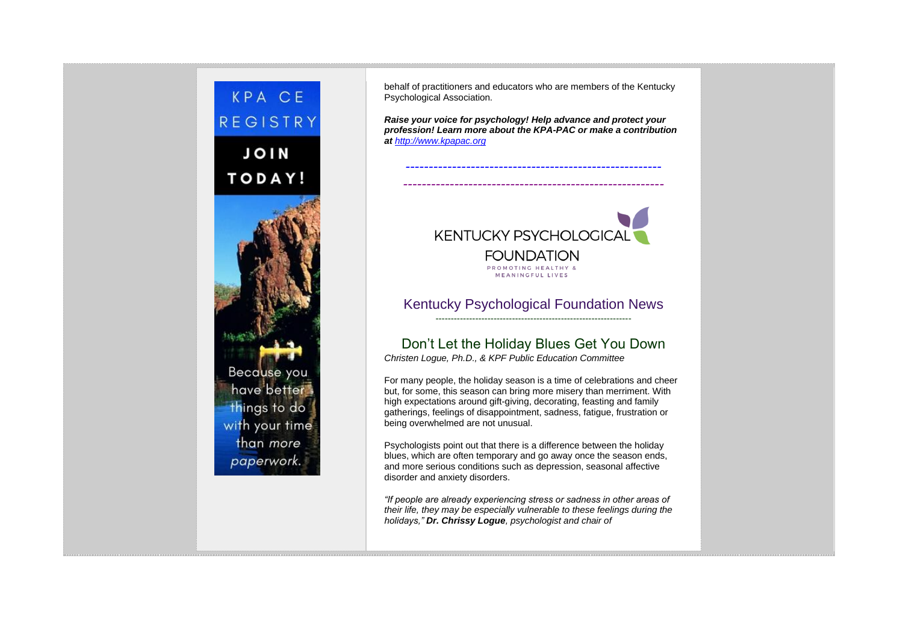

behalf of practitioners and educators who are members of the Kentucky Psychological Association.

*Raise your voice for psychology! Help advance and protect your profession! Learn more about the KPA-PAC or make a contribution at [http://www.kpapac.org](http://www.kpapac.org/)*

*------------------------------------------------------- --------------------------------------------------------*



## Kentucky Psychological Foundation News ----------------------------------------------------------------

# Don't Let the Holiday Blues Get You Down

*Christen Logue, Ph.D., & KPF Public Education Committee*

For many people, the holiday season is a time of celebrations and cheer but, for some, this season can bring more misery than merriment. With high expectations around gift-giving, decorating, feasting and family gatherings, feelings of disappointment, sadness, fatigue, frustration or being overwhelmed are not unusual.

Psychologists point out that there is a difference between the holiday blues, which are often temporary and go away once the season ends, and more serious conditions such as depression, seasonal affective disorder and anxiety disorders.

*"If people are already experiencing stress or sadness in other areas of their life, they may be especially vulnerable to these feelings during the holidays," Dr. Chrissy Logue, psychologist and chair of*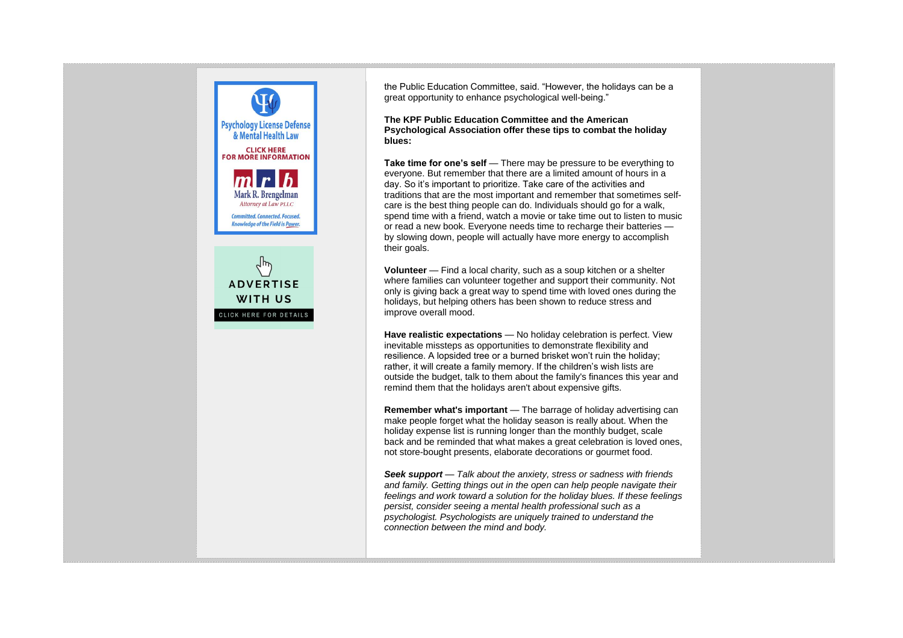

the Public Education Committee, said. "However, the holidays can be a great opportunity to enhance psychological well-being."

**The KPF Public Education Committee and the American Psychological Association offer these tips to combat the holiday blues:**

**Take time for one's self** — There may be pressure to be everything to everyone. But remember that there are a limited amount of hours in a day. So it's important to prioritize. Take care of the activities and traditions that are the most important and remember that sometimes selfcare is the best thing people can do. Individuals should go for a walk, spend time with a friend, watch a movie or take time out to listen to music or read a new book. Everyone needs time to recharge their batteries by slowing down, people will actually have more energy to accomplish their goals.

**Volunteer** — Find a local charity, such as a soup kitchen or a shelter where families can volunteer together and support their community. Not only is giving back a great way to spend time with loved ones during the holidays, but helping others has been shown to reduce stress and improve overall mood.

**Have realistic expectations** — No holiday celebration is perfect. View inevitable missteps as opportunities to demonstrate flexibility and resilience. A lopsided tree or a burned brisket won't ruin the holiday; rather, it will create a family memory. If the children's wish lists are outside the budget, talk to them about the family's finances this year and remind them that the holidays aren't about expensive gifts.

**Remember what's important** — The barrage of holiday advertising can make people forget what the holiday season is really about. When the holiday expense list is running longer than the monthly budget, scale back and be reminded that what makes a great celebration is loved ones, not store-bought presents, elaborate decorations or gourmet food.

*Seek support — Talk about the anxiety, stress or sadness with friends and family. Getting things out in the open can help people navigate their feelings and work toward a solution for the holiday blues. If these feelings persist, consider seeing a mental health professional such as a psychologist. Psychologists are uniquely trained to understand the connection between the mind and body.*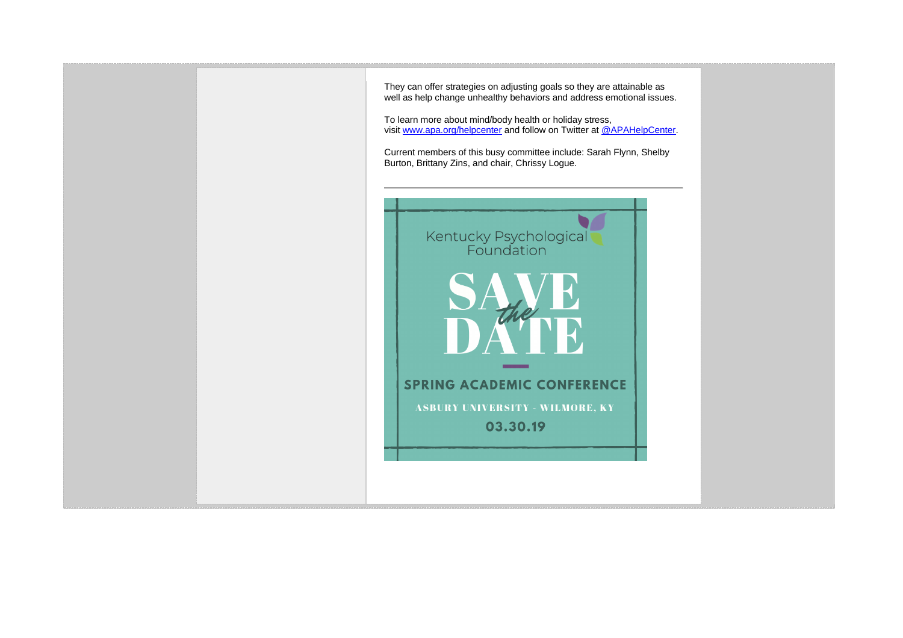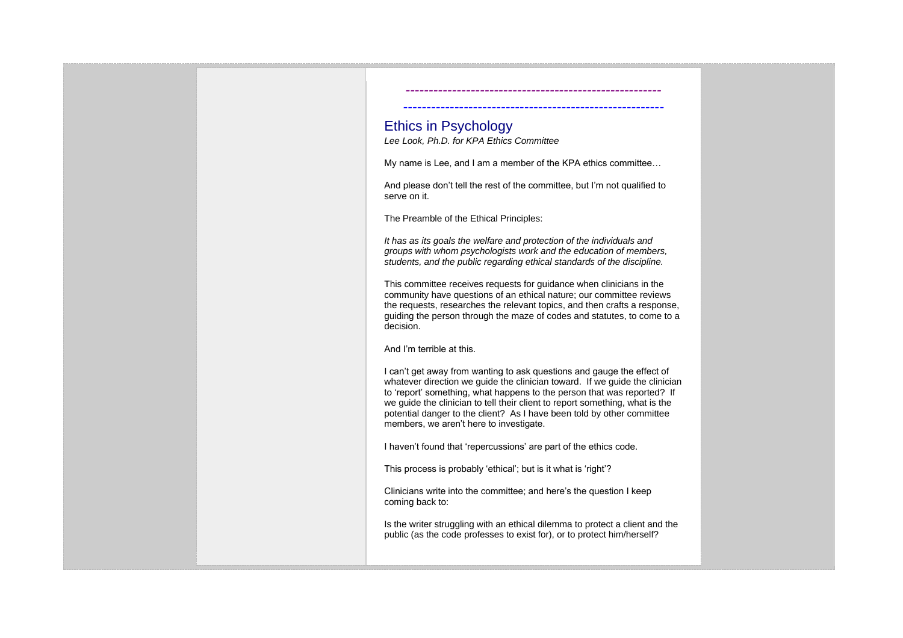# Ethics in Psychology

*Lee Look, Ph.D. for KPA Ethics Committee*

My name is Lee, and I am a member of the KPA ethics committee…

*------------------------------------------------------- --------------------------------------------------------*

And please don't tell the rest of the committee, but I'm not qualified to serve on it.

The Preamble of the Ethical Principles:

*It has as its goals the welfare and protection of the individuals and groups with whom psychologists work and the education of members, students, and the public regarding ethical standards of the discipline.*

This committee receives requests for guidance when clinicians in the community have questions of an ethical nature; our committee reviews the requests, researches the relevant topics, and then crafts a response, guiding the person through the maze of codes and statutes, to come to a decision.

And I'm terrible at this.

I can't get away from wanting to ask questions and gauge the effect of whatever direction we guide the clinician toward. If we guide the clinician to 'report' something, what happens to the person that was reported? If we guide the clinician to tell their client to report something, what is the potential danger to the client? As I have been told by other committee members, we aren't here to investigate.

I haven't found that 'repercussions' are part of the ethics code.

This process is probably 'ethical'; but is it what is 'right'?

Clinicians write into the committee; and here's the question I keep coming back to:

Is the writer struggling with an ethical dilemma to protect a client and the public (as the code professes to exist for), or to protect him/herself?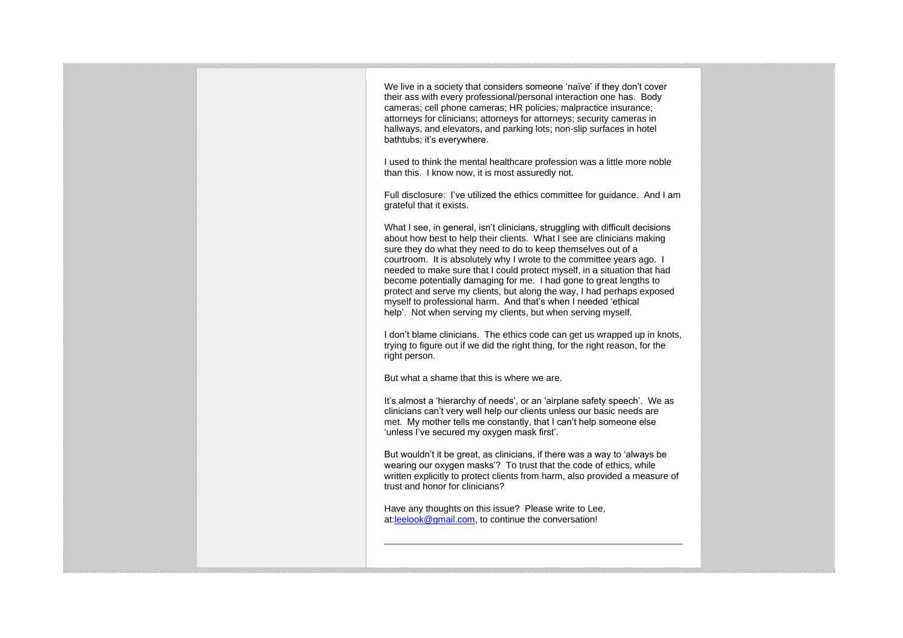We live in a society that considers someone 'naïve' if they don't cover their ass with every professional/personal interaction one has. Body cameras; cell phone cameras; HR policies; malpractice insurance; attorneys for clinicians; attorneys for attorneys; security cameras in hallways, and elevators, and parking lots; non-slip surfaces in hotel bathtubs; it's everywhere.

I used to think the mental healthcare profession was a little more noble than this. I know now, it is most assuredly not.

Full disclosure: I've utilized the ethics committee for guidance. And I am grateful that it exists.

What I see, in general, isn't clinicians, struggling with difficult decisions about how best to help their clients. What I see are clinicians making sure they do what they need to do to keep themselves out of a courtroom. It is absolutely why I wrote to the committee years ago. I needed to make sure that I could protect myself, in a situation that had become potentially damaging for me. I had gone to great lengths to protect and serve my clients, but along the way, I had perhaps exposed myself to professional harm. And that's when I needed 'ethical help'. Not when serving my clients, but when serving myself.

I don't blame clinicians. The ethics code can get us wrapped up in knots, trying to figure out if we did the right thing, for the right reason, for the right person.

But what a shame that this is where we are.

It's almost a 'hierarchy of needs', or an 'airplane safety speech'. We as clinicians can't very well help our clients unless our basic needs are met. My mother tells me constantly, that I can't help someone else 'unless I've secured my oxygen mask first'.

But wouldn't it be great, as clinicians, if there was a way to 'always be wearing our oxygen masks'? To trust that the code of ethics, while written explicitly to protect clients from harm, also provided a measure of trust and honor for clinicians?

Have any thoughts on this issue? Please write to Lee, at[:leelook@gmail.com,](mailto:leelook@gmail.com) to continue the conversation!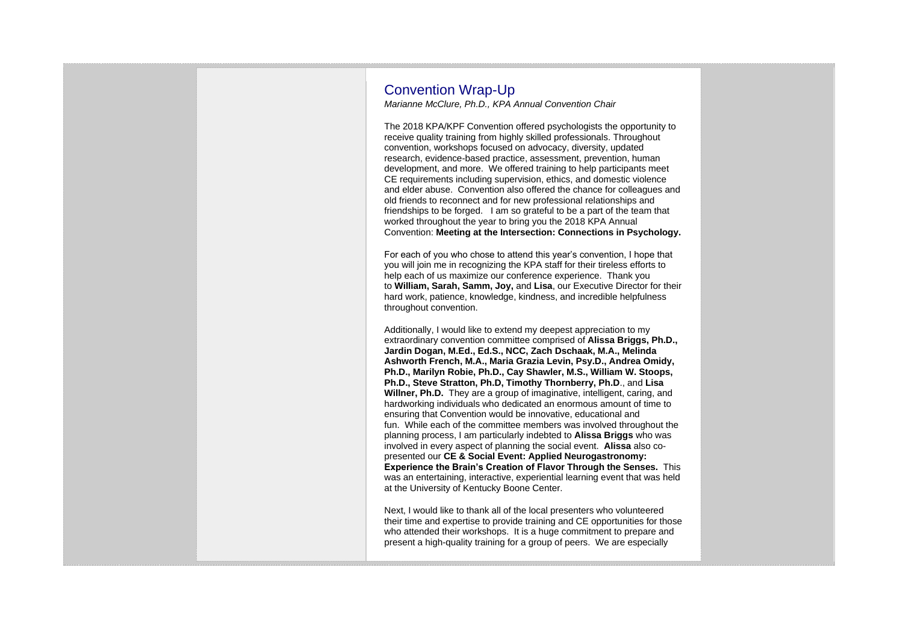# Convention Wrap-Up

*Marianne McClure, Ph.D., KPA Annual Convention Chair*

The 2018 KPA/KPF Convention offered psychologists the opportunity to receive quality training from highly skilled professionals. Throughout convention, workshops focused on advocacy, diversity, updated research, evidence-based practice, assessment, prevention, human development, and more. We offered training to help participants meet CE requirements including supervision, ethics, and domestic violence and elder abuse. Convention also offered the chance for colleagues and old friends to reconnect and for new professional relationships and friendships to be forged. I am so grateful to be a part of the team that worked throughout the year to bring you the 2018 KPA Annual Convention: **Meeting at the Intersection: Connections in Psychology.**

For each of you who chose to attend this year's convention, I hope that you will join me in recognizing the KPA staff for their tireless efforts to help each of us maximize our conference experience. Thank you to **William, Sarah, Samm, Joy,** and **Lisa**, our Executive Director for their hard work, patience, knowledge, kindness, and incredible helpfulness throughout convention.

Additionally, I would like to extend my deepest appreciation to my extraordinary convention committee comprised of **Alissa Briggs, Ph.D., Jardin Dogan, M.Ed., Ed.S., NCC, Zach Dschaak, M.A., Melinda Ashworth French, M.A., Maria Grazia Levin, Psy.D., Andrea Omidy, Ph.D., Marilyn Robie, Ph.D., Cay Shawler, M.S., William W. Stoops, Ph.D., Steve Stratton, Ph.D, Timothy Thornberry, Ph.D**., and **Lisa Willner, Ph.D.** They are a group of imaginative, intelligent, caring, and hardworking individuals who dedicated an enormous amount of time to ensuring that Convention would be innovative, educational and fun. While each of the committee members was involved throughout the planning process, I am particularly indebted to **Alissa Briggs** who was involved in every aspect of planning the social event. **Alissa** also copresented our **CE & Social Event: Applied Neurogastronomy: Experience the Brain's Creation of Flavor Through the Senses.** This was an entertaining, interactive, experiential learning event that was held at the University of Kentucky Boone Center.

Next, I would like to thank all of the local presenters who volunteered their time and expertise to provide training and CE opportunities for those who attended their workshops. It is a huge commitment to prepare and present a high-quality training for a group of peers. We are especially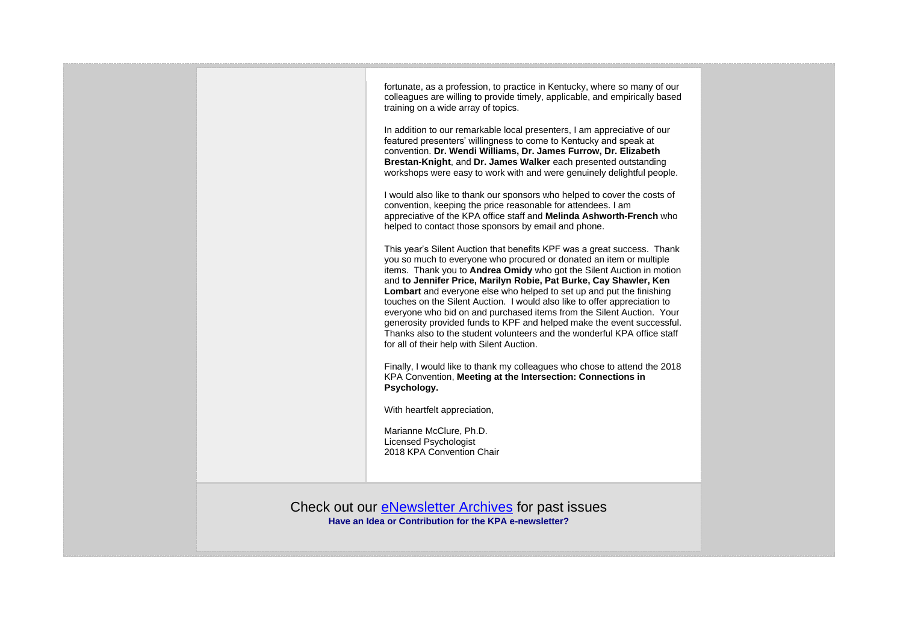|  | fortunate, as a profession, to practice in Kentucky, where so many of our<br>colleagues are willing to provide timely, applicable, and empirically based<br>training on a wide array of topics.                                                                                                                                                                                                                                                                                                                                                                                                                                                                                                                                |  |
|--|--------------------------------------------------------------------------------------------------------------------------------------------------------------------------------------------------------------------------------------------------------------------------------------------------------------------------------------------------------------------------------------------------------------------------------------------------------------------------------------------------------------------------------------------------------------------------------------------------------------------------------------------------------------------------------------------------------------------------------|--|
|  | In addition to our remarkable local presenters, I am appreciative of our<br>featured presenters' willingness to come to Kentucky and speak at<br>convention. Dr. Wendi Williams, Dr. James Furrow, Dr. Elizabeth<br>Brestan-Knight, and Dr. James Walker each presented outstanding<br>workshops were easy to work with and were genuinely delightful people.                                                                                                                                                                                                                                                                                                                                                                  |  |
|  | I would also like to thank our sponsors who helped to cover the costs of<br>convention, keeping the price reasonable for attendees. I am<br>appreciative of the KPA office staff and Melinda Ashworth-French who<br>helped to contact those sponsors by email and phone.                                                                                                                                                                                                                                                                                                                                                                                                                                                       |  |
|  | This year's Silent Auction that benefits KPF was a great success. Thank<br>you so much to everyone who procured or donated an item or multiple<br>items. Thank you to Andrea Omidy who got the Silent Auction in motion<br>and to Jennifer Price, Marilyn Robie, Pat Burke, Cay Shawler, Ken<br>Lombart and everyone else who helped to set up and put the finishing<br>touches on the Silent Auction. I would also like to offer appreciation to<br>everyone who bid on and purchased items from the Silent Auction. Your<br>generosity provided funds to KPF and helped make the event successful.<br>Thanks also to the student volunteers and the wonderful KPA office staff<br>for all of their help with Silent Auction. |  |
|  | Finally, I would like to thank my colleagues who chose to attend the 2018<br>KPA Convention, Meeting at the Intersection: Connections in<br>Psychology.                                                                                                                                                                                                                                                                                                                                                                                                                                                                                                                                                                        |  |
|  | With heartfelt appreciation,                                                                                                                                                                                                                                                                                                                                                                                                                                                                                                                                                                                                                                                                                                   |  |
|  | Marianne McClure, Ph.D.<br><b>Licensed Psychologist</b><br>2018 KPA Convention Chair                                                                                                                                                                                                                                                                                                                                                                                                                                                                                                                                                                                                                                           |  |
|  |                                                                                                                                                                                                                                                                                                                                                                                                                                                                                                                                                                                                                                                                                                                                |  |
|  | Check out our <b>eNewsletter Archives</b> for past issues<br>Have an Idea or Contribution for the KPA e-newsletter?                                                                                                                                                                                                                                                                                                                                                                                                                                                                                                                                                                                                            |  |
|  |                                                                                                                                                                                                                                                                                                                                                                                                                                                                                                                                                                                                                                                                                                                                |  |